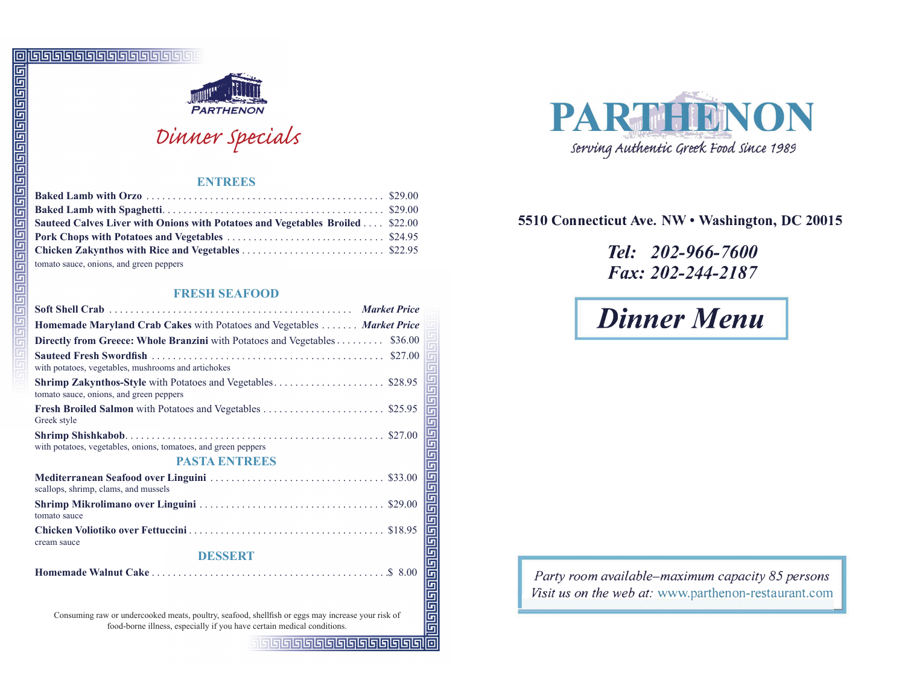

# Dinner specials

# **ENTREES**

| Sauteed Calves Liver with Onions with Potatoes and Vegetables Broiled  \$22.00 |  |
|--------------------------------------------------------------------------------|--|
|                                                                                |  |
|                                                                                |  |
| tomato sauce, onions, and green peppers                                        |  |

# **FRESH SEAFOOD**

| G                            | <u>י רופופופופופופופופופופופופו</u><br>PARTHENON                                                                                                                            |   |
|------------------------------|-----------------------------------------------------------------------------------------------------------------------------------------------------------------------------|---|
| واواواواواواواواواواواواواوا | Dinner specials                                                                                                                                                             |   |
|                              | <b>ENTREES</b>                                                                                                                                                              |   |
|                              |                                                                                                                                                                             |   |
|                              | Sauteed Calves Liver with Onions with Potatoes and Vegetables Broiled  \$22.00                                                                                              |   |
|                              |                                                                                                                                                                             |   |
|                              |                                                                                                                                                                             |   |
| 61919191919191               | tomato sauce, onions, and green peppers                                                                                                                                     |   |
|                              | <b>FRESH SEAFOOD</b>                                                                                                                                                        |   |
| G<br>G                       |                                                                                                                                                                             |   |
| G                            | Homemade Maryland Crab Cakes with Potatoes and Vegetables  Market Price                                                                                                     |   |
|                              | Directly from Greece: Whole Branzini with Potatoes and Vegetables \$36.00                                                                                                   |   |
|                              | with potatoes, vegetables, mushrooms and artichokes                                                                                                                         | G |
|                              | tomato sauce, onions, and green peppers                                                                                                                                     |   |
|                              | Greek style                                                                                                                                                                 |   |
|                              | with potatoes, vegetables, onions, tomatoes, and green peppers<br><b>PASTA ENTREES</b>                                                                                      |   |
|                              | scallops, shrimp, clams, and mussels                                                                                                                                        |   |
|                              | tomato sauce                                                                                                                                                                |   |
|                              | cream sauce                                                                                                                                                                 |   |
|                              | <b>DESSERT</b>                                                                                                                                                              |   |
|                              |                                                                                                                                                                             |   |
|                              | Consuming raw or undercooked meats, poultry, seafood, shellfish or eggs may increase your risk of<br>food-borne illness, especially if you have certain medical conditions. |   |





# 5510 Connecticut Ave. NW . Washington, DC 20015

# Tel: 202-966-7600 Fax: 202-244-2187

# **Dinner Menu**

Party room available-maximum capacity 85 persons Visit us on the web at: www.parthenon-restaurant.com